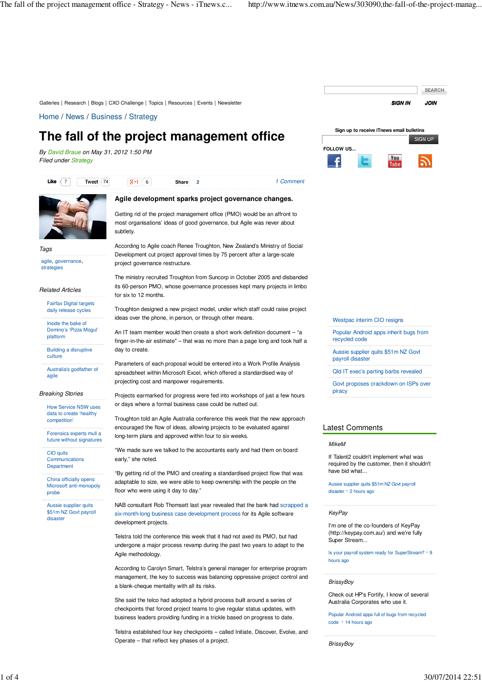

Telstra established four key checkpoints – called Initiate, Discover, Evolve, and Operate – that reflect key phases of a project.

**BrissyBoy**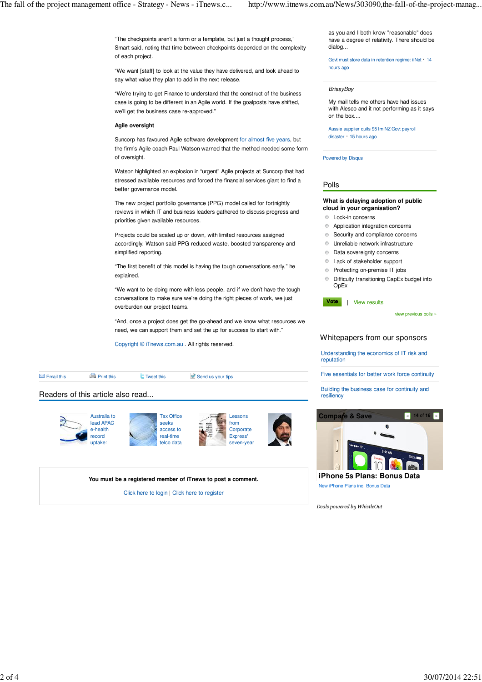"The checkpoints aren't a form or a template, but just a thought process," Smart said, noting that time between checkpoints depended on the complexity of each project.

"We want [staff] to look at the value they have delivered, and look ahead to say what value they plan to add in the next release.

"We're trying to get Finance to understand that the construct of the business case is going to be different in an Agile world. If the goalposts have shifted, we'll get the business case re-approved."

#### **Agile oversight**

Suncorp has favoured Agile software development for almost five years, but the firm's Agile coach Paul Watson warned that the method needed some form of oversight.

Watson highlighted an explosion in "urgent" Agile projects at Suncorp that had stressed available resources and forced the financial services giant to find a better governance model.

The new project portfolio governance (PPG) model called for fortnightly reviews in which IT and business leaders gathered to discuss progress and priorities given available resources.

Projects could be scaled up or down, with limited resources assigned accordingly. Watson said PPG reduced waste, boosted transparency and simplified reporting.

"The first benefit of this model is having the tough conversations early," he explained.

"We want to be doing more with less people, and if we don't have the tough conversations to make sure we're doing the right pieces of work, we just overburden our project teams.

"And, once a project does get the go-ahead and we know what resources we need, we can support them and set the up for success to start with."

Copyright © iTnews.com.au . All rights reserved.

| $\blacksquare$ Email this         | <b>Print this</b> | $\blacksquare$ Tweet this | Send us your tips |  |
|-----------------------------------|-------------------|---------------------------|-------------------|--|
| Readers of this article also read |                   |                           |                   |  |



**You must be a registered member of iTnews to post a comment.**

Click here to login | Click here to register

as you and I both know "reasonable" does have a degree of relativity. There should be dialog...

Govt must store data in retention regime: iiNet · 14 hours ago

#### **BrissyBoy**

My mail tells me others have had issues with Alesco and it not performing as it says on the box....

Aussie supplier quits \$51m NZ Govt payroll disaster · 15 hours ago

Powered by Disqus

#### Polls

#### **What is delaying adoption of public cloud in your organisation?**

- **C** Lock-in concerns
- Application integration concerns
- **Security and compliance concerns**
- Unreliable network infrastructure
- $\bullet$  Data sovereignty concerns
- Lack of stakeholder support
- **Protecting on-premise IT jobs**
- Difficulty transitioning CapEx budget into OpEx

Vote | View results

view previous polls »

## Whitepapers from our sponsors

Understanding the economics of IT risk and reputation

Five essentials for better work force continuity

Building the business case for continuity and resiliency



iPhone 5s Plans: Bonus Data New iPhone Plans inc. Bonus Data

*Deals powered by WhistleOut*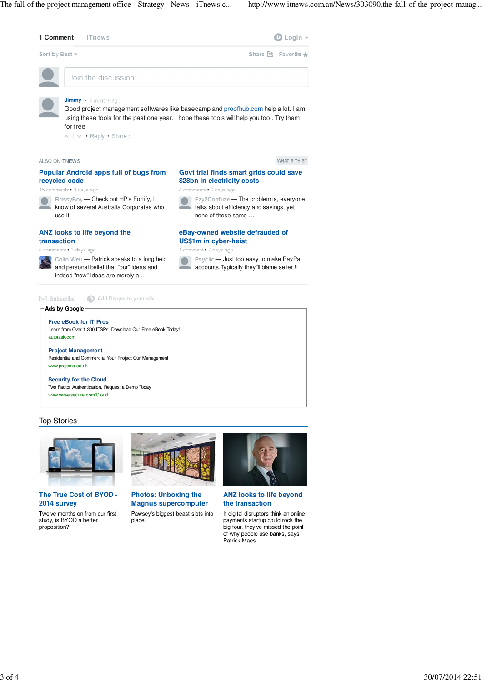

## Top Stories



**The True Cost of BYOD - 2014 survey**

Twelve months on from our first study, is BYOD a better proposition?



**Photos: Unboxing the Magnus supercomputer** Pawsey's biggest beast slots into

place.



**ANZ looks to life beyond the transaction**

If digital disruptors think an online payments startup could rock the big four, they've missed the point of why people use banks, says Patrick Maes.